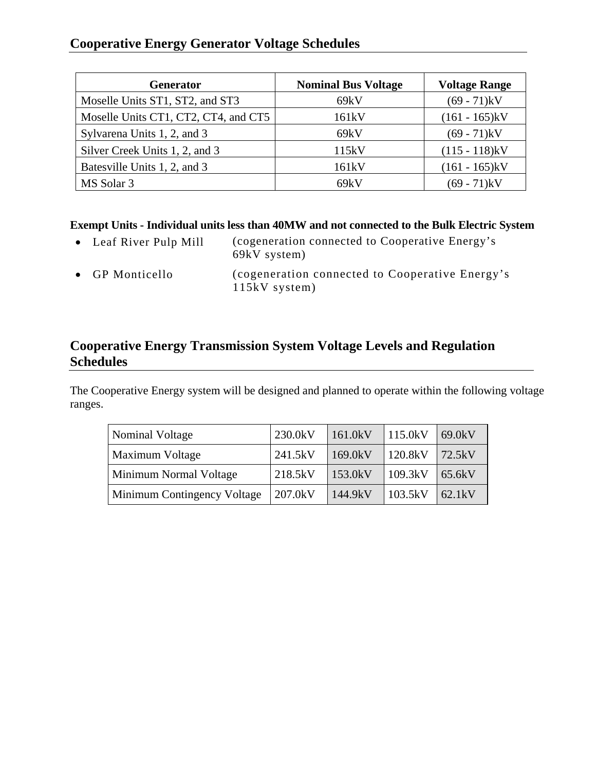## **Cooperative Energy Generator Voltage Schedules**

| <b>Generator</b>                     | <b>Nominal Bus Voltage</b> | <b>Voltage Range</b> |
|--------------------------------------|----------------------------|----------------------|
| Moselle Units ST1, ST2, and ST3      | 69kV                       | $(69 - 71)$ kV       |
| Moselle Units CT1, CT2, CT4, and CT5 | 161 <sub>k</sub> V         | $(161 - 165)$ kV     |
| Sylvarena Units 1, 2, and 3          | 69kV                       | $(69 - 71)$ kV       |
| Silver Creek Units 1, 2, and 3       | 115kV                      | $(115 - 118)$ kV     |
| Batesville Units 1, 2, and 3         | 161kV                      | $(161 - 165)$ kV     |
| MS Solar 3                           | 69kV                       | (69 - 71)kV          |

## **Exempt Units - Individual units less than 40MW and not connected to the Bulk Electric System**

| • Leaf River Pulp Mill | (cogeneration connected to Cooperative Energy's<br>69kV system)    |
|------------------------|--------------------------------------------------------------------|
| • GP Monticello        | (cogeneration connected to Cooperative Energy's<br>$115kV$ system) |

## **Cooperative Energy Transmission System Voltage Levels and Regulation Schedules**

The Cooperative Energy system will be designed and planned to operate within the following voltage ranges.

| Nominal Voltage               | 230.0kV | 161.0kV    | 115.0kV | 69.0kV |
|-------------------------------|---------|------------|---------|--------|
| <b>Maximum Voltage</b>        | 241.5kV | $169.0$ kV | 120.8kV | 72.5kV |
| <b>Minimum Normal Voltage</b> | 218.5kV | 153.0kV    | 109.3kV | 65.6kV |
| Minimum Contingency Voltage   | 207.0kV | 144.9kV    | 103.5kV | 62.1kV |